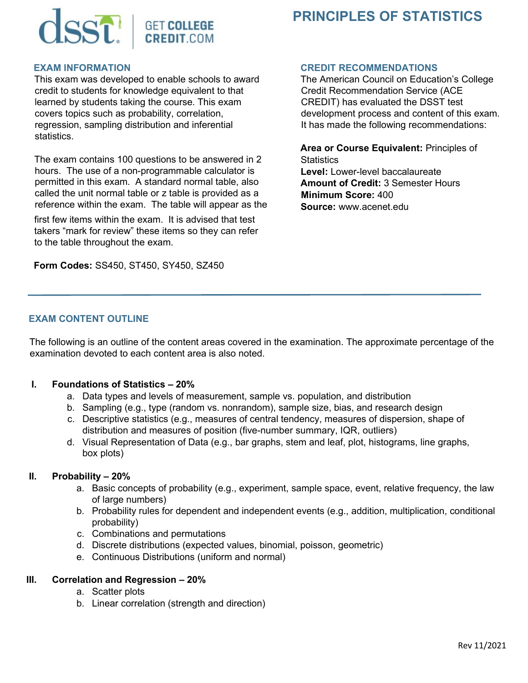

# **PRINCIPLES OF STATISTICS**

#### **EXAM INFORMATION**

This exam was developed to enable schools to award credit to students for knowledge equivalent to that learned by students taking the course. This exam covers topics such as probability, correlation, regression, sampling distribution and inferential statistics.

The exam contains 100 questions to be answered in 2 hours. The use of a non-programmable calculator is permitted in this exam. A standard normal table, also called the unit normal table or z table is provided as a reference within the exam. The table will appear as the

first few items within the exam. It is advised that test takers "mark for review" these items so they can refer to the table throughout the exam.

**Form Codes:** SS450, ST450, SY450, SZ450

#### **CREDIT RECOMMENDATIONS**

The American Council on Education's College Credit Recommendation Service (ACE CREDIT) has evaluated the DSST test development process and content of this exam. It has made the following recommendations:

**Area or Course Equivalent:** Principles of **Statistics Level:** Lower-level baccalaureate **Amount of Credit:** 3 Semester Hours **Minimum Score:** 400 **Source:** www.acenet.edu

### **EXAM CONTENT OUTLINE**

The following is an outline of the content areas covered in the examination. The approximate percentage of the examination devoted to each content area is also noted.

#### **I. Foundations of Statistics – 20%**

- a. Data types and levels of measurement, sample vs. population, and distribution
- b. Sampling (e.g., type (random vs. nonrandom), sample size, bias, and research design
- c. Descriptive statistics (e.g., measures of central tendency, measures of dispersion, shape of distribution and measures of position (five-number summary, IQR, outliers)
- d. Visual Representation of Data (e.g., bar graphs, stem and leaf, plot, histograms, line graphs, box plots)

#### **II. Probability – 20%**

- a. Basic concepts of probability (e.g., experiment, sample space, event, relative frequency, the law of large numbers)
- b. Probability rules for dependent and independent events (e.g., addition, multiplication, conditional probability)
- c. Combinations and permutations
- d. Discrete distributions (expected values, binomial, poisson, geometric)
- e. Continuous Distributions (uniform and normal)

#### **III. Correlation and Regression – 20%**

- a. Scatter plots
- b. Linear correlation (strength and direction)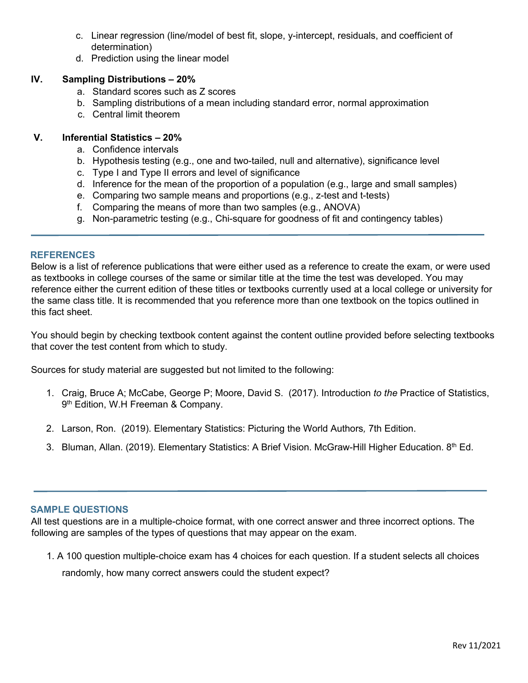- c. Linear regression (line/model of best fit, slope, y-intercept, residuals, and coefficient of determination)
- d. Prediction using the linear model

# **IV. Sampling Distributions – 20%**

- a. Standard scores such as Z scores
- b. Sampling distributions of a mean including standard error, normal approximation
- c. Central limit theorem

# **V. Inferential Statistics – 20%**

- a. Confidence intervals
- b. Hypothesis testing (e.g., one and two-tailed, null and alternative), significance level
- c. Type I and Type II errors and level of significance
- d. Inference for the mean of the proportion of a population (e.g., large and small samples)
- e. Comparing two sample means and proportions (e.g., z-test and t-tests)
- f. Comparing the means of more than two samples (e.g., ANOVA)
- g. Non-parametric testing (e.g., Chi-square for goodness of fit and contingency tables)

## **REFERENCES**

Below is a list of reference publications that were either used as a reference to create the exam, or were used as textbooks in college courses of the same or similar title at the time the test was developed. You may reference either the current edition of these titles or textbooks currently used at a local college or university for the same class title. It is recommended that you reference more than one textbook on the topics outlined in this fact sheet.

You should begin by checking textbook content against the content outline provided before selecting textbooks that cover the test content from which to study.

Sources for study material are suggested but not limited to the following:

- 1. Craig, Bruce A; McCabe, George P; Moore, David S. (2017). Introduction *to the* Practice of Statistics, 9 th Edition, W.H Freeman & Company.
- 2. Larson, Ron. (2019). Elementary Statistics: Picturing the World Authors*,* 7th Edition.
- 3. Bluman, Allan. (2019). Elementary Statistics: A Brief Vision. McGraw-Hill Higher Education. 8th Ed.

## **SAMPLE QUESTIONS**

All test questions are in a multiple-choice format, with one correct answer and three incorrect options. The following are samples of the types of questions that may appear on the exam.

1. A 100 question multiple-choice exam has 4 choices for each question. If a student selects all choices

randomly, how many correct answers could the student expect?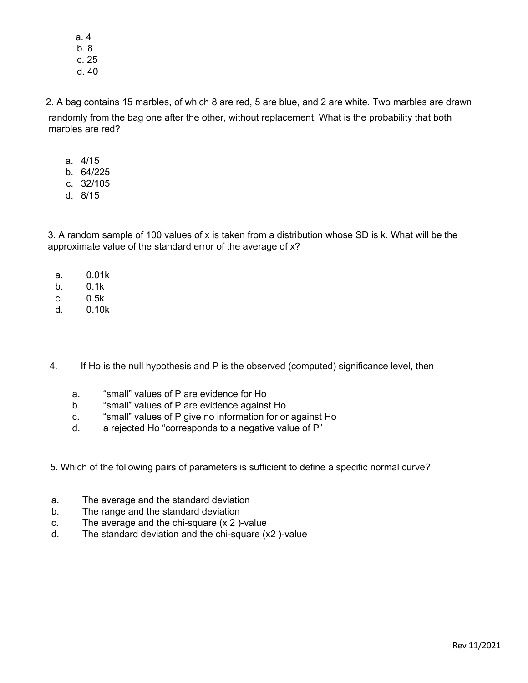a. 4 b. 8 c. 25 d. 40

2. A bag contains 15 marbles, of which 8 are red, 5 are blue, and 2 are white. Two marbles are drawn randomly from the bag one after the other, without replacement. What is the probability that both marbles are red?

- a. 4/15
- b. 64/225
- c. 32/105
- d. 8/15

3. A random sample of 100 values of x is taken from a distribution whose SD is k. What will be the approximate value of the standard error of the average of x?

- a. 0.01k
- b. 0.1k
- c. 0.5k
- d. 0.10k

4. If Ho is the null hypothesis and P is the observed (computed) significance level, then

- a. "small" values of P are evidence for Ho
- b. "small" values of P are evidence against Ho
- c. "small" values of P give no information for or against Ho
- d. a rejected Ho "corresponds to a negative value of P"

5. Which of the following pairs of parameters is sufficient to define a specific normal curve?

- a. The average and the standard deviation
- b. The range and the standard deviation
- c. The average and the chi-square (x 2 )-value
- d. The standard deviation and the chi-square (x2 )-value